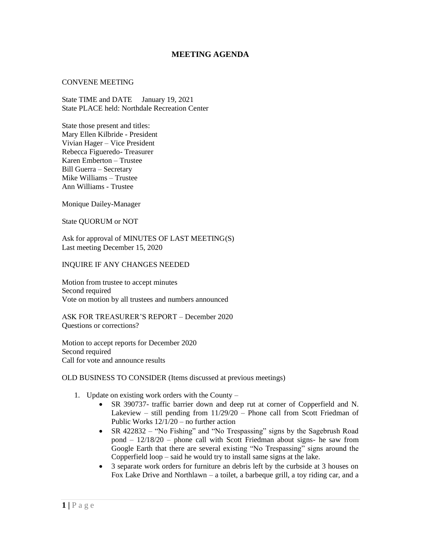# **MEETING AGENDA**

#### CONVENE MEETING

State TIME and DATE January 19, 2021 State PLACE held: Northdale Recreation Center

State those present and titles: Mary Ellen Kilbride - President Vivian Hager – Vice President Rebecca Figueredo- Treasurer Karen Emberton – Trustee Bill Guerra – Secretary Mike Williams – Trustee Ann Williams - Trustee

Monique Dailey-Manager

State QUORUM or NOT

Ask for approval of MINUTES OF LAST MEETING(S) Last meeting December 15, 2020

### INQUIRE IF ANY CHANGES NEEDED

Motion from trustee to accept minutes Second required Vote on motion by all trustees and numbers announced

ASK FOR TREASURER'S REPORT – December 2020 Questions or corrections?

Motion to accept reports for December 2020 Second required Call for vote and announce results

### OLD BUSINESS TO CONSIDER (Items discussed at previous meetings)

- 1. Update on existing work orders with the County
	- SR 390737- traffic barrier down and deep rut at corner of Copperfield and N. Lakeview – still pending from  $11/29/20$  – Phone call from Scott Friedman of Public Works 12/1/20 – no further action
	- SR 422832 "No Fishing" and "No Trespassing" signs by the Sagebrush Road pond – 12/18/20 – phone call with Scott Friedman about signs- he saw from Google Earth that there are several existing "No Trespassing" signs around the Copperfield loop – said he would try to install same signs at the lake.
	- 3 separate work orders for furniture an debris left by the curbside at 3 houses on Fox Lake Drive and Northlawn – a toilet, a barbeque grill, a toy riding car, and a